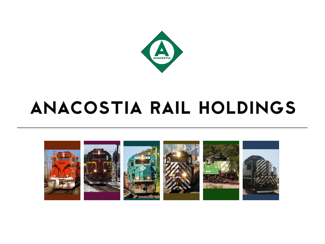

# **ANACOSTIA RAIL HOLDINGS**

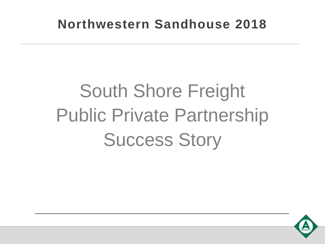### **Northwestern Sandhouse 2018**

# South Shore Freight Public Private Partnership Success Story

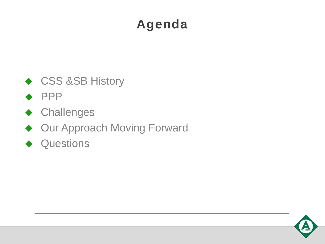# **Agenda**

- ◆ CSS &SB History
- $\leftrightarrow$  PPP
- ◆ Challenges
- ◆ Our Approach Moving Forward
- ◆ Questions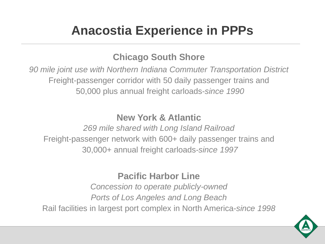## **Anacostia Experience in PPPs**

#### **Chicago South Shore**

*90 mile joint use with Northern Indiana Commuter Transportation District* Freight-passenger corridor with 50 daily passenger trains and 50,000 plus annual freight carloads-*since 1990*

**New York & Atlantic**

*269 mile shared with Long Island Railroad* Freight-passenger network with 600+ daily passenger trains and 30,000+ annual freight carloads-*since 1997*

#### **Pacific Harbor Line**

*Concession to operate publicly-owned Ports of Los Angeles and Long Beach* Rail facilities in largest port complex in North America-*since 1998* 

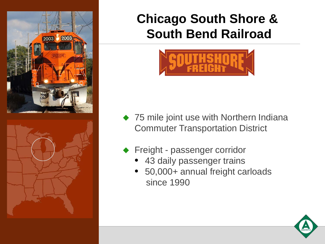

## **Chicago South Shore & South Bend Railroad**



- ◆ 75 mile joint use with Northern Indiana Commuter Transportation District
- ◆ Freight passenger corridor
	- 43 daily passenger trains
	- 50,000+ annual freight carloads since 1990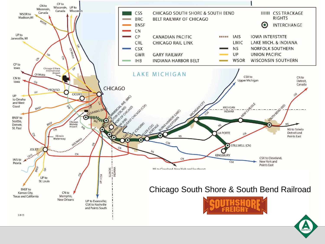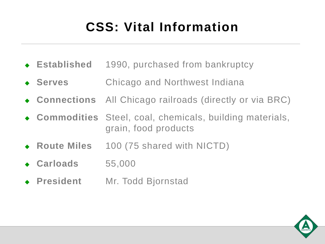# **CSS: Vital Information**

- **Established** 1990, purchased from bankruptcy
- ◆ Serves **Chicago and Northwest Indiana**
- **Connections** All Chicago railroads (directly or via BRC)
- **Commodities** Steel, coal, chemicals, building materials, grain, food products
- **Route Miles** 100 (75 shared with NICTD)
- **Carloads** 55,000
- **President** Mr. Todd Bjornstad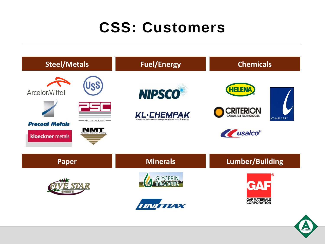# **CSS: Customers**



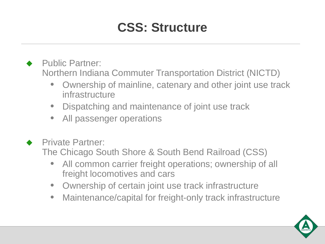# **CSS: Structure**

- Public Partner: Northern Indiana Commuter Transportation District (NICTD)
	- Ownership of mainline, catenary and other joint use track infrastructure
	- Dispatching and maintenance of joint use track
	- All passenger operations
- Private Partner: The Chicago South Shore & South Bend Railroad (CSS)
	- All common carrier freight operations; ownership of all freight locomotives and cars
	- Ownership of certain joint use track infrastructure
	- Maintenance/capital for freight-only track infrastructure

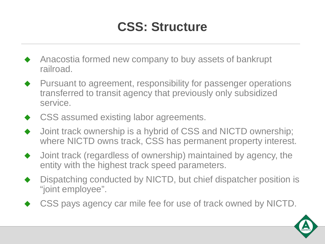# **CSS: Structure**

- Anacostia formed new company to buy assets of bankrupt railroad.
- Pursuant to agreement, responsibility for passenger operations transferred to transit agency that previously only subsidized service.
- CSS assumed existing labor agreements.
- Joint track ownership is a hybrid of CSS and NICTD ownership; where NICTD owns track, CSS has permanent property interest.
- Joint track (regardless of ownership) maintained by agency, the entity with the highest track speed parameters.
- Dispatching conducted by NICTD, but chief dispatcher position is "joint employee".
- CSS pays agency car mile fee for use of track owned by NICTD.

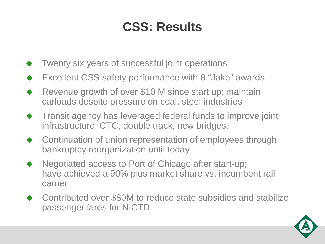# **CSS: Results**

- Twenty six years of successful joint operations
- Excellent CSS safety performance with 8 "Jake" awards
- Revenue growth of over \$10 M since start up; maintain carloads despite pressure on coal, steel industries
- **Transit agency has leveraged federal funds to improve joint** infrastructure: CTC, double track, new bridges.
- Continuation of union representation of employees through bankruptcy reorganization until today
- Negotiated access to Port of Chicago after start-up; have achieved a 90% plus market share vs. incumbent rail carrier
- Contributed over \$80M to reduce state subsidies and stabilize passenger fares for NICTD

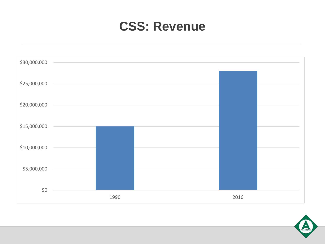### **CSS: Revenue**

| \$30,000,000 |      |      |  |
|--------------|------|------|--|
| \$25,000,000 |      |      |  |
| \$20,000,000 |      |      |  |
| \$15,000,000 |      |      |  |
| \$10,000,000 |      |      |  |
| \$5,000,000  |      |      |  |
| $$0$$        |      |      |  |
|              | 1990 | 2016 |  |

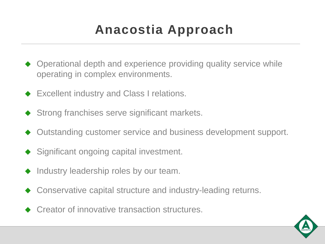# **Anacostia Approach**

- ◆ Operational depth and experience providing quality service while operating in complex environments.
- Excellent industry and Class I relations.
- ◆ Strong franchises serve significant markets.
- Outstanding customer service and business development support.
- ◆ Significant ongoing capital investment.
- Industry leadership roles by our team.
- Conservative capital structure and industry-leading returns.
- Creator of innovative transaction structures.

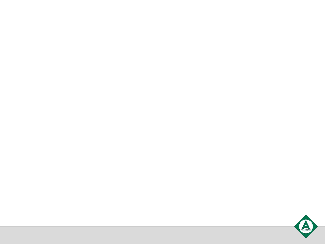